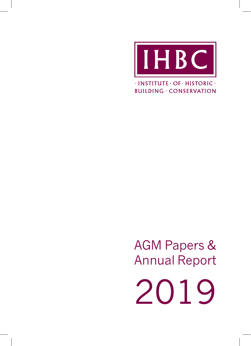

 $\cdot$  INSTITUTE  $\cdot$  OF  $\cdot$  HISTORIC  $\cdot$ **BUILDING · CONSERVATION** 

AGM Papers & Annual Report 2019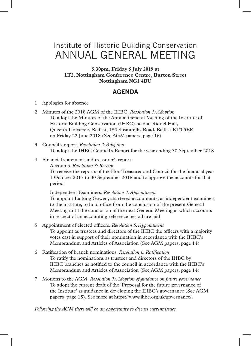# Institute of Historic Building Conservation ANNUAL GENERAL MEETING

**5.30pm, Friday 5 July 2019 at LT2, Nottingham Conference Centre, Burton Street Nottingham NG1 4BU**

## **AGENDA**

- 1 Apologies for absence
- 2 Minutes of the 2018 AGM of the IHBC. *Resolution 1: Adoption* To adopt the Minutes of the Annual General Meeting of the Institute of Historic Building Conservation (IHBC) held at Riddel Hall, Queen's University Belfast, 185 Stranmillis Road, Belfast BT9 5EE on Friday 22 June 2018 (See AGM papers, page 16)
- 3 Council's report. *Resolution 2: Adoption* To adopt the IHBC Council's Report for the year ending 30 September 2018
- 4 Financial statement and treasurer's report:

Accounts. *Resolution 3: Receipt* To receive the reports of the Hon Treasurer and Council for the financial year 1 October 2017 to 30 September 2018 and to approve the accounts for that period

Independent Examiners. *Resolution 4: Appointment* To appoint Larking Gowen, chartered accountants, as independent examiners to the institute, to hold office from the conclusion of the present General Meeting until the conclusion of the next General Meeting at which accounts in respect of an accounting reference period are laid

- 5 Appointment of elected officers. *Resolution 5: Appointment* To appoint as trustees and directors of the IHBC the officers with a majority votes cast in support of their nomination in accordance with the IHBC's Memorandum and Articles of Association (See AGM papers, page 14)
- 6 Ratification of branch nominations. *Resolution 6: Ratification* To ratify the nominations as trustees and directors of the IHBC by IHBC branches as notified to the council in accordance with the IHBC's Memorandum and Articles of Association (See AGM papers, page 14)
- 7 Motions to the AGM. *Resolution 7: Adoption of guidance on future governance* To adopt the current draft of the 'Proposal for the future governance of the Institute' as guidance in developing the IHBC's governance (See AGM papers, page 15). See more at https://www.ihbc.org.uk/governance/.

*Following the AGM there will be an opportunity to discuss current issues.*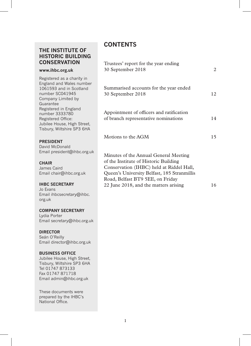## **THE INSTITUTE OF HISTORIC BUILDING CONSERVATION**

#### **www.ihbc.org.uk**

Registered as a charity in England and Wales number 1061593 and in Scotland number SC041945 Company Limited by Guarantee Registered in England number 3333780 Registered Office: Jubilee House, High Street, Tisbury, Wiltshire SP3 6HA

#### **PRESIDENT**

David McDonald Email president@ihbc.org.uk

#### **CHAIR**

James Caird Email chair@ihbc.org.uk

#### **IHBC SECRETARY**

Jo Evans Email ihbcsecretary@ihbc. org.uk

#### **COMPANY SECRETARY**

Lydia Porter Email secretary@ihbc.org.uk

#### **DIRECTOR**

Seán O'Reilly Email director@ihbc.org.uk

#### **BUSINESS OFFICE**

Jubilee House, High Street, Tisbury, Wiltshire SP3 6HA Tel 01747 873133 Fax 01747 871718 Email admin@ihbc.org.uk

These documents were prepared by the IHBC's National Office.

## **CONTENTS**

| 2  |
|----|
| 12 |
| 14 |
| 15 |
| 16 |
|    |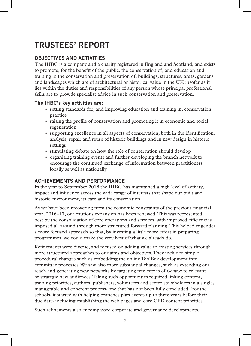# **TRUSTEES' REPORT**

## **OBJECTIVES AND ACTIVITIES**

The IHBC is a company and a charity registered in England and Scotland, and exists to promote, for the benefit of the public, the conservation of, and education and training in the conservation and preservation of, buildings, structures, areas, gardens and landscapes which are of architectural or historical value in the UK insofar as it lies within the duties and responsibilities of any person whose principal professional skills are to provide specialist advice in such conservation and preservation.

### **The IHBC's key activities are:**

- setting standards for, and improving education and training in, conservation practice
- raising the profile of conservation and promoting it in economic and social regeneration
- supporting excellence in all aspects of conservation, both in the identification, analysis, repair and reuse of historic buildings and in new design in historic settings
- stimulating debate on how the role of conservation should develop
- organising training events and further developing the branch network to encourage the continued exchange of information between practitioners locally as well as nationally

## **ACHIEVEMENTS AND PERFORMANCE**

In the year to September 2018 the IHBC has maintained a high level of activity, impact and influence across the wide range of interests that shape our built and historic environment, its care and its conservation.

As we have been recovering from the economic constraints of the previous financial year, 2016–17, our cautious expansion has been renewed. This was represented best by the consolidation of core operations and services, with improved efficiencies imposed all around through more structured forward planning. This helped engender a more focused approach so that, by investing a little more effort in preparing programmes, we could make the very best of what we already do.

Refinements were diverse, and focused on adding value to existing services through more structured approaches to our aims and objectives. They included simple procedural changes such as embedding the online ToolBox development into committee processes. We saw also more substantial changes, such as extending our reach and generating new networks by targeting free copies of *Context* to relevant or strategic new audiences. Taking such opportunities required linking content, training priorities, authors, publishers, volunteers and sector stakeholders in a single, manageable and coherent process, one that has not been fully concluded. For the schools, it started with helping branches plan events up to three years before their due date, including establishing the web pages and core CPD content priorities.

Such refinements also encompassed corporate and governance developments.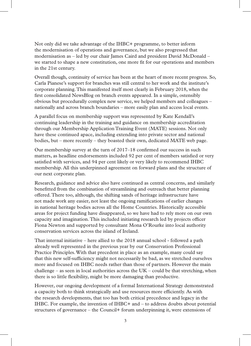Not only did we take advantage of the IHBC+ programme, to better inform the modernisation of operations and governance, but we also progressed that modernisation as – led by our chair James Caird and president David McDonald – we started to shape a new constitution, one more fit for our operations and members in the 21st century.

Overall though, continuity of service has been at the heart of more recent progress. So, Carla Pianese's support for branches was still central to her work and the institute's corporate planning. This manifested itself most clearly in February 2018, when the first consolidated NewsBlog on branch events appeared. In a simple, ostensibly obvious but procedurally complex new service, we helped members and colleagues – nationally and across branch boundaries – more easily plan and access local events.

A parallel focus on membership support was represented by Kate Kendall's continuing leadership in the training and guidance on membership accreditation through our Membership Application Training Event (MATE) sessions. Not only have these continued apace, including extending into private sector and national bodies, but – more recently – they boasted their own, dedicated MATE web page.

Our membership survey at the turn of 2017–18 confirmed our success in such matters, as headline endorsements included 92 per cent of members satisfied or very satisfied with services, and 94 per cent likely or very likely to recommend IHBC membership. All this underpinned agreement on forward plans and the structure of our next corporate plan.

Research, guidance and advice also have continued as central concerns, and similarly benefitted from the combination of streamlining and outreach that better planning offered. There too, although, the shifting sands of heritage infrastructure have not made work any easier, not least the ongoing ramifications of earlier changes in national heritage bodies across all the Home Countries. Historically accessible areas for project funding have disappeared, so we have had to rely more on our own capacity and imagination. This included initiating research led by projects officer Fiona Newton and supported by consultant Mona O'Rourke into local authority conservation services across the island of Ireland.

That internal initiative – here allied to the 2018 annual school - followed a path already well represented in the previous year by our Conservation Professional Practice Principles. With that precedent in place as an example, many could say that this new self-sufficiency might not necessarily be bad, as we stretched ourselves more and focused on IHBC needs rather than those of partners. However the main challenge – as seen in local authorities across the  $UK - \text{could}$  be that stretching, when there is so little flexibility, might be more damaging than productive.

However, our ongoing development of a formal International Strategy demonstrated a capacity both to think strategically and use resources more efficiently. As with the research developments, that too has both critical precedence and legacy in the IHBC. For example, the invention of IHBC+ and – to address doubts about potential structures of governance – the Council+ forum underpinning it, were extensions of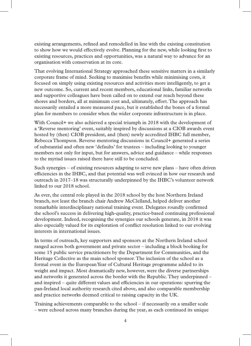existing arrangements, refined and remodelled in line with the existing constitution to show how we would effectively evolve. Planning for the new, while looking first to existing resources, practices and opportunities, was a natural way to advance for an organisation with conservation at its core.

That evolving International Strategy approached these sensitive matters in a similarly corporate frame of mind. Seeking to maximise benefits while minimising costs, it focused on simply using existing resources and activities more intelligently, to get a new outcome. So, current and recent members, educational links, familiar networks and supportive colleagues have been called on to extend our reach beyond these shores and borders, all at minimum cost and, ultimately, effort. The approach has necessarily entailed a more measured pace, but it established the bones of a formal plan for members to consider when the wider corporate infrastructure is in place.

With Council+ we also achieved a special triumph in 2018 with the development of a 'Reverse mentoring' event, suitably inspired by discussions at a CIOB awards event hosted by (then) CIOB president, and (then) newly accredited IHBC full member, Rebecca Thompson. Reverse mentoring discussions in Council+ generated a series of substantial and often new 'defaults' for trustees – including looking to younger members not only for input, but for answers, advice and guidance – while responses to the myriad issues raised there have still to be concluded.

Such synergies – of existing resources adapting to serve new plans – have often driven efficiencies in the IHBC, and that potential was well evinced in how our research and outreach in 2017–18 was structurally underpinned by the IHBC's volunteer network linked to our 2018 school.

As ever, the central role played in the 2018 school by the host Northern Ireland branch, not least the branch chair Andrew McClelland, helped deliver another remarkable interdisciplinary national training event. Delegates roundly confirmed the school's success in delivering high-quality, practice-based continuing professional development. Indeed, recognising the synergies our schools generate, in 2018 it was also especially valued for its exploration of conflict resolution linked to our evolving interests in international issues.

In terms of outreach, key supporters and sponsors at the Northern Ireland school ranged across both government and private sector – including a block booking for some 15 public service practitioners by the Department for Communities, and the Heritage Collective as the main school sponsor. The inclusion of the school as a formal event in the European Year of Cultural Heritage programme added to its weight and impact. Most dramatically new, however, were the diverse partnerships and networks it generated across the border with the Republic. They underpinned – and inspired – quite different values and efficiencies in our operations: spurring the pan-Ireland local authority research cited above, and also comparable membership and practice networks deemed critical to raising capacity in the UK.

Training achievements comparable to the school – if necessarily on a smaller scale – were echoed across many branches during the year, as each continued its unique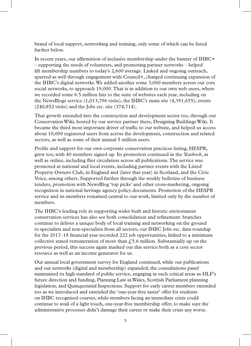brand of local support, networking and training, only some of which can be listed further below.

In recent years, our affirmation of inclusive membership under the banner of IHBC+ – supporting the needs of volunteers, and promoting partner networks – helped lift membership numbers to today's 2,600 average. Linked and ongoing outreach, spurred as well through engagement with Council+, charged continuing expansion of the IHBC's digital networks. We added another some 3,000 members across our core social networks, to approach 19,000. That is in addition to our own web users, where we recorded some 6.5 million hits to the suite of websites each year, including on the NewsBlogs service (1,013,796 visits), the IHBC's main site (4,391,655), events (240,852 visits) and the Jobs etc. site (374,714).

That growth extended into the construction and development sector too, through our Conservation Wiki, hosted by our service partner there, Designing Buildings Wiki. It became the third most important driver of traffic to our website, and helped us access about 10,000 registered users from across the development, construction and related sectors, as well as some of their annual 5 million users.

Profile and support for our own corporate conservation practices listing, HESPR, grew too, with 40 members signed up. Its promotion continued in the *Yearbook*, as well as online, including flier circulation across all publications. The service was promoted at national and local events, including partner events with the Listed Property Owners Club, in England and (later that year) in Scotland, and the Civic Voice, among others. Supported further through the weekly bulletins of business tenders, promotion with NewsBlog 'top picks' and other cross-marketing, ongoing recognition in national heritage agency policy documents. Promotion of the HESPR service and its members remained central to our work, limited only by the number of members.

The IHBC's leading role in supporting wider built and historic environment conservation services has also see both consolidation and refinement: branches continue to deliver a unique body of local training and networking on the ground to specialists and non-specialists from all sectors; our IHBC Jobs etc. data roundup for the 2017–18 financial year recorded 222 job opportunities, linked to a minimum collective stated remuneration of more than  $\ell$ 5.6 million. Substantially up on the previous period, this success again marked out this service both as a core sector resource as well as an income generator for us.

Our annual local government survey for England continued, while our publications and our networks (digital and membership) expanded; the consultations panel maintained its high standard of public service, engaging in such critical areas as HLF's future direction and funding, Planning Law in Wales, Scottish Parliament planning legislation, and Quinquennial Inspections. Support for early career members extended too as we introduced and extended the 'one-year-free taster' offer for students on IHBC recognised courses, while members facing an immediate crisis could continue to avail of a light touch, one-year-free membership offer, to make sure the administrative processes didn't damage their career or make their crisis any worse.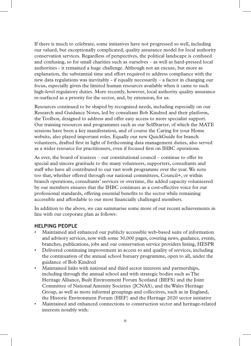If there is much to celebrate, some initiatives have not progressed so well, including our valued, but exceptionally complicated, quality assurance model for local authority conservation services. Regardless of perspectives, the political landscape is confused and confusing, so for small charities such as ourselves – as well as hard-pressed local authorities - it remained a huge challenge. Although not an excuse, but more as explanation, the substantial time and effort required to address compliance with the new data regulations was inevitably - if equally necessarily – a factor in changing our focus, especially given the limited human resources available when it came to such high-level regulatory duties. More recently, however, local authority quality assurance re-surfaced as a priority for the sector, and, by extension, for us.

Resources continued to be shaped by recognised needs, including especially on our Research and Guidance Notes, led by consultant Bob Kindred and their platform, the Toolbox, designed to address and offer easy access to more specialist support. Our training resources and programmes such as our SelfStarter, of which the MATE sessions have been a key manifestation, and of course the Caring for your Home website, also played important roles. Equally our new QuickGuide for branch volunteers, drafted first in light of forthcoming data management duties, also served as a wider resource for practitioners, even if focused first on IHBC operations.

As ever, the board of trustees – our constitutional council – continue to offer its special and sincere gratitude to the many volunteers, supporters, consultants and staff who have all contributed to our vast work programme over the year. We note too that, whether offered through our national committees, Council+, or within branch operations, consultants' services or overtime, the added capacity volunteered by our members ensures that the IHBC continues as a cost-effective voice for our professional standards, offering essential benefits to the sector while remaining accessible and affordable to our most financially challenged members.

In addition to the above, we can summarise some more of our recent achievements in line with our corporate plan as follows:

#### **HELPING PEOPLE**

- Maintained and enhanced our publicly accessible web-based suite of information and advisory services, now with some 30,000 pages, covering news, guidance, events, branches, publications, jobs and our conservation service providers listing, HESPR
- Delivered continuing improvement in access to and quality of services, including the continuation of the annual school bursary programme, open to all, under the guidance of Bob Kindred
- Maintained links with national and third sector interests and partnerships, including through the annual school and with strategic bodies such as The Heritage Alliance, Built Environment Forum Scotland (BEFS) and the Joint Committee of National Amenity Societies (JCNAS), and the Wales Heritage Group, as well as more informal groupings and collectives, such as in England, the Historic Environment Forum (HEF) and the Heritage 2020 sector initiative
- Maintained and enhanced connections to construction sector and heritage-related interests notably with: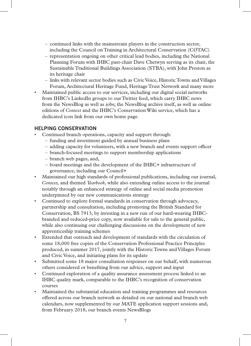- continued links with the mainstream players in the construction sector, including the Council on Training in Architectural Conservation (COTAC)
- representation ongoing on other critical lead bodies, including the National Planning Forum with IHBC past-chair Dave Chetwyn serving as its chair, the Sustainable Traditional Buildings Association (STBA), with John Preston as its heritage chair
- links with relevant sector bodies such as Civic Voice, Historic Towns and Villages Forum, Architectural Heritage Fund, Heritage Trust Network and many more
- Maintained public access to our services, including our digital social networks from IHBC's LinkedIn groups to our Twitter feed, which carry IHBC news from the NewsBlog as well as jobs; the NewsBlog archive itself, as well as online editions of *Context* and the IHBC's Conservation Wiki service, which has a dedicated icon link from our own home page.

## **HELPING CONSERVATION**

- Continued branch operations, capacity and support through:
	- funding and investment guided by annual business plans
	- adding capacity for volunteers, with a new branch and events support officer
	- branch-focused meetings to support membership applications
	- branch web pages, and,
	- board meetings and the development of the IHBC+ infrastructure of governance, including our Council+
- Maintained our high standards of professional publications, including our journal, *Context,* and themed *Yearbook*, while also extending online access to the journal notably through an enhanced strategy of online and social media promotion underpinned by our new communications strategy
- Continued to explore formal standards in conservation through advocacy, partnership and consultation, including promoting the British Standard for Conservation, BS 7913, by investing in a new run of our hard-wearing IHBCbranded and reduced-price copy, now available for sale to the general public, while also continuing our challenging discussions on the development of new apprenticeship training schemes
- Extended that outreach and development of standards with the circulation of some 18,000 free copies of the Conservation Professional Practice Principles produced, in summer 2017, jointly with the Historic Towns and Villages Forum and Civic Voice, and initiating plans for its update
- Submitted some 18 major consultation responses on our behalf, with numerous others considered or benefiting from our advice, support and input
- Continued exploration of a quality assurance assessment process linked to an IHBC quality mark, comparable to the IHBC's recognition of conservation courses
- Maintained the substantial education and training programmes and resources offered across our branch network as detailed on our national and branch web calendars, now supplemented by our MATE application support sessions and, from February 2018, our branch events NewsBlogs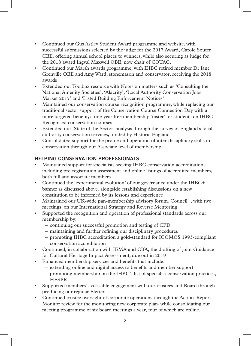- Continued our Gus Astley Student Award programme and website, with successful submissions selected by the judge for the 2017 Award, Carole Souter CBE, offering annual school places to winners, while also securing as judge for the 2018 award Ingval Maxwell OBE, now chair of COTAC.
- Continued our Marsh awards programme, with IHBC retired member Dr Jane Grenville OBE and Amy Ward, stonemason and conservator, receiving the 2018 awards
- Extended our Toolbox resource with Notes on matters such as 'Consulting the National Amenity Societies', 'Alacrity', 'Local Authority Conservation Jobs Market 2017' and 'Listed Building Enforcement Notices'
- Maintained our conservation course recognition programme, while replacing our traditional sector support of the Conservation Course Connection Day with a more targeted benefit, a one-year free membership 'taster' for students on IHBC-Recognised conservation courses
- Extended our 'State of the Sector' analysis through the survey of England's local authority conservation services, funded by Historic England
- Consolidated support for the profile and operation of inter-disciplinary skills in conservation through our Associate level of membership.

## **HELPING CONSERVATION PROFESSIONALS**

- Maintained support for specialists seeking IHBC conservation accreditation, including pre-registration assessment and online listings of accredited members, both full and associate members
- Continued the 'experimental evolution' of our governance under the IHBC+ banner as discussed above, alongside establishing discussions on a new constitution to be informed by its lessons and experience
- Maintained our UK-wide pan-membership advisory forum, Council+, with two meetings, on our International Strategy and Reverse Mentoring
- Supported the recognition and operation of professional standards across our membership by:
	- continuing our successful promotion and testing of CPD
	- maintaining and further refining our disciplinary procedures
	- promoting IHBC accreditation a gold-standard for ICOMOS 1993-compliant conservation accreditation
- Continued, in collaboration with IEMA and CIfA, the drafting of joint Guidance for Cultural Heritage Impact Assessment, due out in 2019
- Enhanced membership services and benefits that include:
	- extending online and digital access to benefits and member support
	- promoting membership on the IHBC's list of specialist conservation practices, HESPR
- Supported members' accessible engagement with our trustees and Board through producing our regular Eletter
- Continued trustee oversight of corporate operations through the Action–Report– Monitor review for the monitoring new corporate plan, while consolidating our meeting programme of six board meetings a year, four of which are online.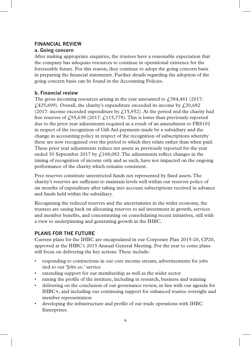## **FINANCIAL REVIEW**

## **a. Going concern**

After making appropriate enquiries, the trustees have a reasonable expectation that the company has adequate resources to continue in operational existence for the foreseeable future. For this reason, they continue to adopt the going concern basis in preparing the financial statements. Further details regarding the adoption of the going concern basis can be found in the Accounting Policies.

## **b. Financial review**

The gross incoming resources arising in the year amounted to  $\text{\textsterling}384,461$  (2017:  $£425,699)$ . Overall, the charity's expenditure exceeded its income by  $£20,682$ (2017: income exceeded expenditure by  $\zeta$ 15,952). At the period end the charity had free reserves of  $\zeta$ 95,638 (2017:  $\zeta$ 115,779). This is lower than previously reported due to the prior year adjustments required as a result of an amendment to FRS102 in respect of the recognition of Gift Aid payments made by a subsidiary and the change in accounting policy in respect of the recognition of subscriptions whereby these are now recognised over the period to which they relate rather than when paid. These prior year adjustments reduce net assets as previously reported for the year ended 30 September 2017 by  $\frac{168,082}$ . The adjustments reflect changes in the timing of recognition of income only and as such, have not impacted on the ongoing performance of the charity which remains consistent.

Free reserves constitute unrestricted funds not represented by fixed assets. The charity's reserves are sufficient to maintain levels well within our reserves policy of six months of expenditure after taking into account subscriptions received in advance and funds held within the subsidiary.

Recognising the reduced reserves and the uncertainties in the wider economy, the trustees are easing back on allocating reserves to aid investment in growth, services and member benefits, and concentrating on consolidating recent initiatives, still with a view to underpinning and generating growth in the IHBC.

## **PLANS FOR THE FUTURE**

Current plans for the IHBC are encapsulated in our Corporate Plan 2015-20, CP20, approved at the IHBC's 2015 Annual General Meeting. For the year to come plans will focus on delivering the key actions. These include:

- responding to contractions in our core income stream, advertisements for jobs tied to our 'Jobs *etc*.' service
- extending support for our membership as well as the wider sector
- raising the profile of the institute, including in research, business and training
- delivering on the conclusion of our governance review, in line with our agenda for IHBC+, and including our continuing support for enhanced trustee oversight and member representation
- developing the infrastructure and profile of our trade operations with IHBC Enterprises.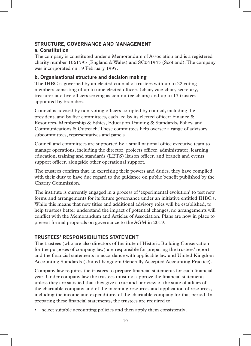#### **STRUCTURE, GOVERNANCE AND MANAGEMENT a. Constitution**

The company is constituted under a Memorandum of Association and is a registered charity number 1061593 (England & Wales) and SC041945 (Scotland). The company was incorporated on 19 February 1997.

#### **b. Organisational structure and decision making**

The IHBC is governed by an elected council of trustees with up to 22 voting members consisting of up to nine elected officers (chair, vice-chair, secretary, treasurer and five officers serving as committee chairs) and up to 13 trustees appointed by branches.

Council is advised by non-voting officers co-opted by council, including the president, and by five committees, each led by its elected officer: Finance & Resources, Membership & Ethics, Education Training & Standards, Policy, and Communications & Outreach. These committees help oversee a range of advisory subcommittees, representatives and panels.

Council and committees are supported by a small national office executive team to manage operations, including the director, projects officer, administrator, learning education, training and standards (LETS) liaison officer, and branch and events support officer, alongside other operational support.

The trustees confirm that, in exercising their powers and duties, they have complied with their duty to have due regard to the guidance on public benefit published by the Charity Commission.

The institute is currently engaged in a process of 'experimental evolution' to test new forms and arrangements for its future governance under an initiative entitled IHBC+. While this means that new titles and additional advisory roles will be established, to help trustees better understand the impact of potential changes, no arrangements will conflict with the Memorandum and Articles of Association. Plans are now in place to present formal proposals on governance to the AGM in 2019.

#### **TRUSTEES' RESPONSIBILITIES STATEMENT**

The trustees (who are also directors of Institute of Historic Building Conservation for the purposes of company law) are responsible for preparing the trustees' report and the financial statements in accordance with applicable law and United Kingdom Accounting Standards (United Kingdom Generally Accepted Accounting Practice).

Company law requires the trustees to prepare financial statements for each financial year. Under company law the trustees must not approve the financial statements unless they are satisfied that they give a true and fair view of the state of affairs of the charitable company and of the incoming resources and application of resources, including the income and expenditure, of the charitable company for that period. In preparing these financial statements, the trustees are required to:

select suitable accounting policies and then apply them consistently;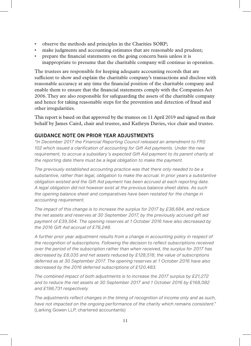- observe the methods and principles in the Charities SORP;
- make judgments and accounting estimates that are reasonable and prudent;
- prepare the financial statements on the going concern basis unless it is inappropriate to presume that the charitable company will continue in operation.

The trustees are responsible for keeping adequate accounting records that are sufficient to show and explain the charitable company's transactions and disclose with reasonable accuracy at any time the financial position of the charitable company and enable them to ensure that the financial statements comply with the Companies Act 2006. They are also responsible for safeguarding the assets of the charitable company and hence for taking reasonable steps for the prevention and detection of fraud and other irregularities.

This report is based on that approved by the trustees on 11 April 2019 and signed on their behalf by James Caird, chair and trustee, and Kathryn Davies, vice chair and trustee.

## **GUIDANCE NOTE ON PRIOR YEAR ADJUSTMENTS**

*"In December 2017 the Financial Reporting Council released an amendment to FRS 102 which issued a clarification of accounting for Gift Aid payments. Under the new requirement, to accrue a subsidiary's expected Gift Aid payment to its parent charity at the reporting date there must be a legal obligation to make the payment.*

*The previously established accounting practice was that there only needed to be a substantive, rather than legal, obligation to make the accrual. In prior years a substantive obligation existed and the Gift Aid payment has been accrued at each reporting date. A legal obligation did not however exist at the previous balance sheet dates. As such the opening balance sheet and comparatives have been restated for the change in accounting requirement.*

*The impact of this change is to increase the surplus for 2017 by £38,684, and reduce the net assets and reserves at 30 September 2017, by the previously accrued gift aid payment of £39,564. The opening reserves at 1 October 2016 have also decreased by the 2016 Gift Aid accrual of £78,248.*

*A further prior year adjustment results from a change in accounting policy in respect of the recognition of subscriptions. Following the decision to reflect subscriptions received over the period of the subscription rather than when received, the surplus for 2017 has decreased by £8,035 and net assets reduced by £128,518, the value of subscriptions deferred as at 30 September 2017. The opening reserves at 1 October 2016 have also decreased by the 2016 deferred subscriptions of £120,483.*

*The combined impact of both adjustments is to increase the 2017 surplus by £21,272 and to reduce the net assets at 30 September 2017 and 1 October 2016 by £168,082 and £198,731 respectively.*

*The adjustments reflect changes in the timing of recognition of income only and as such, have not impacted on the ongoing performance of the charity which remains consistent."*  (Larking Gowen LLP, chartered accountants)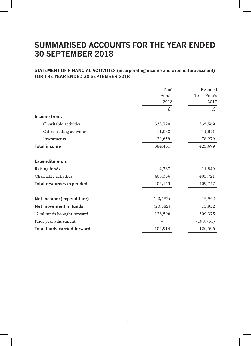## **SUMMARISED ACCOUNTS FOR THE YEAR ENDED 30 SEPTEMBER 2018**

## **STATEMENT OF FINANCIAL ACTIVITIES (incorporating income and expenditure account) FOR THE YEAR ENDED 30 SEPTEMBER 2018**

|                                    | Total    | Restated                   |
|------------------------------------|----------|----------------------------|
|                                    | Funds    | <b>Total Funds</b><br>2017 |
|                                    | 2018     |                            |
|                                    | £,       | £.                         |
| Income from:                       |          |                            |
| Charitable activities              | 333,720  | 335,569                    |
| Other trading activities           | 11,082   | 11,851                     |
| Investments                        | 39,659   | 78,279                     |
| <b>Total income</b>                | 384,461  | 425,699                    |
| Expenditure on:                    |          |                            |
| Raising funds                      | 4,787    | 11,849                     |
| Charitable activities              | 400,356  | 403,721                    |
| <b>Total resources expended</b>    | 405,143  | 409,747                    |
| Net income/(expenditure)           | (20,682) | 15,952                     |
| Net movement in funds              | (20,682) | 15,952                     |
| Total funds brought forward        | 126,596  | 309,375                    |
| Prior year adjustment              |          | (198, 731)                 |
| <b>Total funds carried forward</b> | 105,914  | 126,596                    |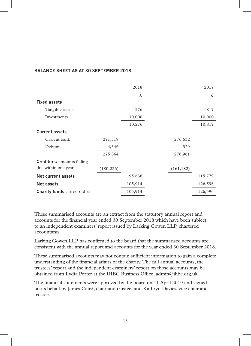#### **BALANCE SHEET AS AT 30 SEPTEMBER 2018**

|                                   |            | 2018    |            | 2017    |
|-----------------------------------|------------|---------|------------|---------|
|                                   |            | £,      |            | £.      |
| <b>Fixed assets</b>               |            |         |            |         |
| Tangible assets                   |            | 276     |            | 817     |
| Investments                       |            | 10,000  |            | 10,000  |
|                                   |            | 10,276  |            | 10,817  |
| <b>Current assets</b>             |            |         |            |         |
| Cash at bank                      | 271,518    |         | 276,632    |         |
| Debtors                           | 4,346      |         | 329        |         |
|                                   | 275,864    |         | 276,961    |         |
| <b>Creditors:</b> amounts falling |            |         |            |         |
| due within one year               | (180, 226) |         | (161, 182) |         |
| Net current assets                |            | 95,638  |            | 115,779 |
| Net assets                        |            | 105,914 |            | 126,596 |
| <b>Charity funds Unrestricted</b> |            | 105,914 |            | 126,596 |

These summarised accounts are an extract from the statutory annual report and accounts for the financial year ended 30 September 2018 which have been subject to an independent examiners' report issued by Larking Gowen LLP, chartered accountants.

Larking Gowen LLP has confirmed to the board that the summarised accounts are consistent with the annual report and accounts for the year ended 30 September 2018.

These summarised accounts may not contain sufficient information to gain a complete understanding of the financial affairs of the charity. The full annual accounts, the trustees' report and the independent examiners' report on those accounts may be obtained from Lydia Porter at the IHBC Business Office, admin@ihbc.org.uk.

The financial statements were approved by the board on 11 April 2019 and signed on its behalf by James Caird, chair and trustee, and Kathryn Davies, vice chair and trustee.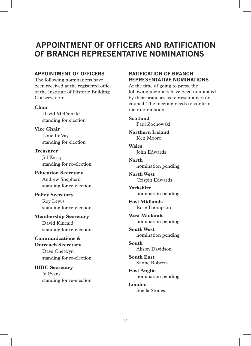## **APPOINTMENT OF OFFICERS AND RATIFICATION OF BRANCH REPRESENTATIVE NOMINATIONS**

#### **APPOINTMENT OF OFFICERS**

The following nominations have been received at the registered office of the Institute of Historic Building Conservation:

**Chair**

David McDonald standing for election

**Vice Chair** Lone Le Vay standing for election

**Treasurer** Jill Kerry standing for re-election

**Education Secretary** Andrew Shepherd standing for re-election

**Policy Secretary** Roy Lewis standing for re-election

**Membership Secretary** David Kincaid standing for re-election

**Communications & Outreach Secretary** Dave Chetwyn standing for re-election

**IHBC Secretary** Jo Evans standing for re-election

## **RATIFICATION OF BRANCH REPRESENTATIVE NOMINATIONS**

At the time of going to press, the following members have been nominated by their branches as representatives on council. The meeting needs to confirm their nomination:

**Scotland** Paul Zochowski

**Northern Ireland** Ken Moore

**Wales** John Edwards

**North** nomination pending

**North West** Crispin Edwards

**Yorkshire** nomination pending

**East Midlands** Rose Thompson

**West Midlands** nomination pending

**South West** nomination pending

**South** Alison Davidson

**South East** Sanne Roberts

**East Anglia** nomination pending

**London** Sheila Stones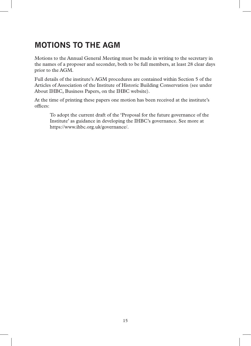# **MOTIONS TO THE AGM**

Motions to the Annual General Meeting must be made in writing to the secretary in the names of a proposer and seconder, both to be full members, at least 28 clear days prior to the AGM.

Full details of the institute's AGM procedures are contained within Section 5 of the Articles of Association of the Institute of Historic Building Conservation (see under About IHBC, Business Papers, on the IHBC website).

At the time of printing these papers one motion has been received at the institute's offices:

To adopt the current draft of the 'Proposal for the future governance of the Institute' as guidance in developing the IHBC's governance. See more at https://www.ihbc.org.uk/governance/.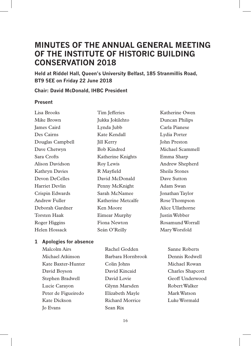## **MINUTES OF THE ANNUAL GENERAL MEETING OF THE INSTITUTE OF HISTORIC BUILDING CONSERVATION 2018**

**Held at Riddel Hall, Queen's University Belfast, 185 Stranmillis Road, BT9 5EE on Friday 22 June 2018**

#### **Chair: David McDonald, IHBC President**

#### **Present**

Lisa Brooks Mike Brown James Caird Des Cairns Douglas Campbell Dave Chetwyn Sara Crofts Alison Davidson Kathryn Davies Devon DeCelles Harriet Devlin Crispin Edwards Andrew Fuller Deborah Gardner Torsten Haak Roger Higgins Helen Hossack

Tim Jefferies Jukka Jokilehto Lynda Jubb Kate Kendall **Jill Kerry** Bob Kindred Katherine Knights Roy Lewis R Mayfield David McDonald Penny McKnight Sarah McNamee Katherine Metcalfe Ken Moore Eimear Murphy Fiona Newton Seán O'Reilly

Katherine Owen Duncan Philips Carla Pianese Lydia Porter John Preston Michael Scammell Emma Sharp Andrew Shepherd Sheila Stones Dave Sutton Adam Swan Jonathan Taylor Rose Thompson Alice Ullathorne Justin Webber Rosamund Worrall Mary Worsfold

### **1 Apologies for absence**

Malcolm Airs Michael Atkinson Kate Baxter-Hunter David Boyson Stephen Bradwell Lucie Carayon Peter de Figueiredo Kate Dickson Jo Evans

Rachel Godden Barbara Hornbrook Colin Johns David Kincaid David Lovie Glynn Marsden Elizabeth Mayle Richard Morrice Sean Rix

Sanne Roberts Dennis Rodwell Michael Rowan Charles Shapcott Geoff Underwood Robert Walker Mark Watson Luke Wormald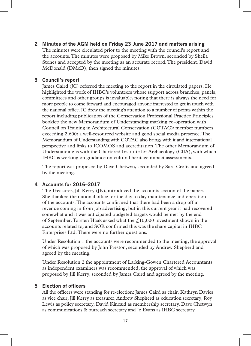**2 Minutes of the AGM held on Friday 23 June 2017 and matters arising** The minutes were circulated prior to the meeting with the council's report and the accounts. The minutes were proposed by Mike Brown, seconded by Sheila Stones and accepted by the meeting as an accurate record. The president, David McDonald (DMcD), then signed the minutes.

#### **3 Council's report**

James Caird (JC) referred the meeting to the report in the circulated papers. He highlighted the work of IHBC's volunteers whose support across branches, panels, committees and other groups is invaluable, noting that there is always the need for more people to come forward and encouraged anyone interested to get in touch with the national office. JC drew the meeting's attention to a number of points within the report including publication of the Conservation Professional Practice Principles booklet; the new Memorandum of Understanding marking co-operation with Council on Training in Architectural Conservation (COTAC); member numbers exceeding 2,600; a well-resourced website and good social media presence. The Memorandum of Understanding with COTAC also brings with it and international perspective and links to ICOMOS and accreditation. The other Memorandum of Understanding is with the Chartered Institute for Archaeology (CIfA), with which IHBC is working on guidance on cultural heritage impact assessments.

The report was proposed by Dave Chetwyn, seconded by Sara Crofts and agreed by the meeting.

#### **4 Accounts for 2016–2017**

The Treasurer, Jill Kerry (JK), introduced the accounts section of the papers. She thanked the national office for the day to day maintenance and operation of the accounts. The accounts confirmed that there had been a drop off in revenue coming in from job advertising, but in this current year it had recovered somewhat and it was anticipated budgeted targets would be met by the end of September. Torsten Haak asked what the  $f(10,000)$  investment shown in the accounts related to, and SOR confirmed this was the share capital in IHBC Enterprises Ltd. There were no further questions.

Under Resolution 1 the accounts were recommended to the meeting, the approval of which was proposed by John Preston, seconded by Andrew Shepherd and agreed by the meeting.

Under Resolution 2 the appointment of Larking-Gowen Chartered Accountants as independent examiners was recommended, the approval of which was proposed by Jill Kerry, seconded by James Caird and agreed by the meeting.

#### **5 Election of officers**

All the officers were standing for re-election: James Caird as chair, Kathryn Davies as vice chair, Jill Kerry as treasurer, Andrew Shepherd as education secretary, Roy Lewis as policy secretary, David Kincaid as membership secretary, Dave Chetwyn as communications & outreach secretary and Jo Evans as IHBC secretary.